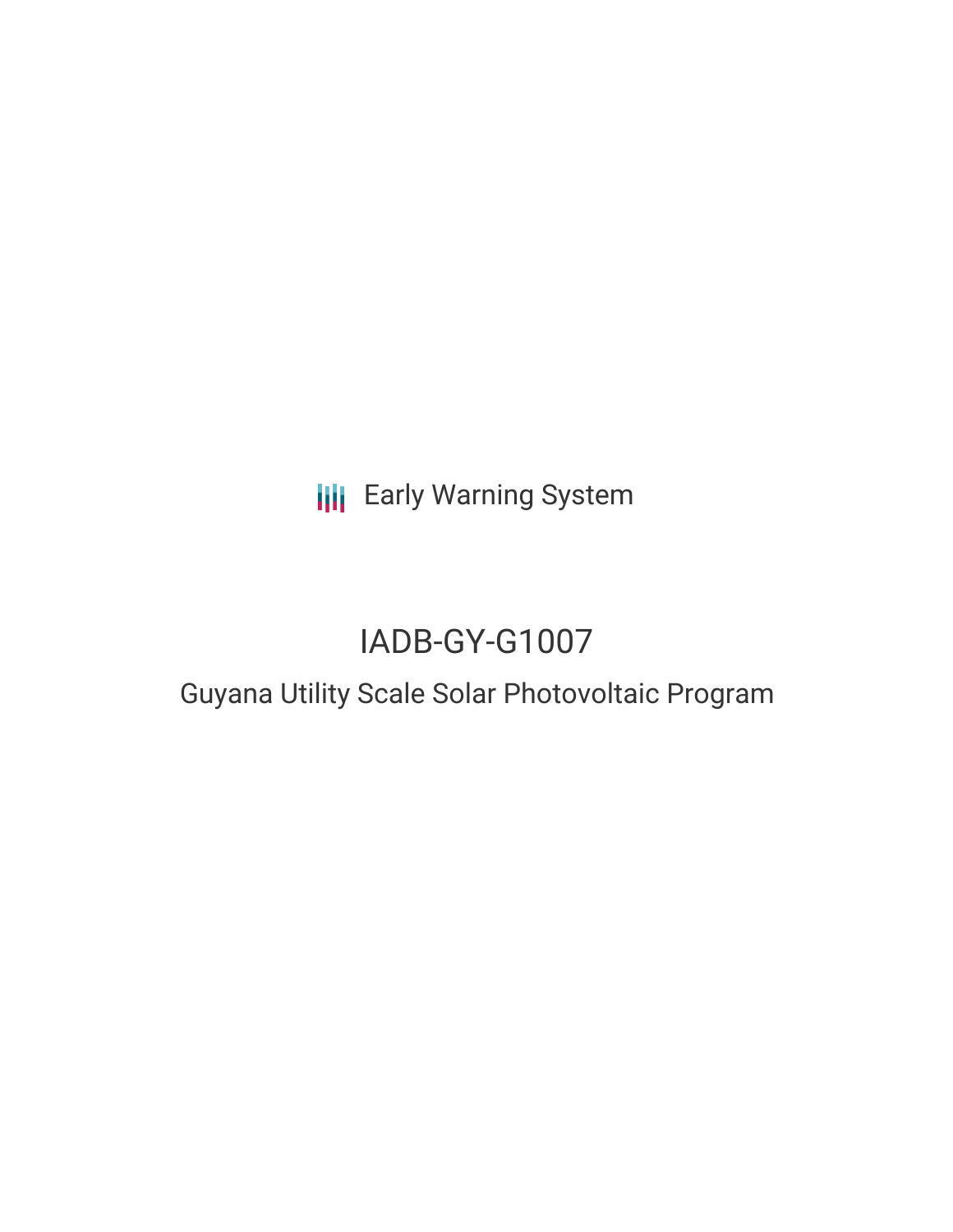**III** Early Warning System

# IADB-GY-G1007

## Guyana Utility Scale Solar Photovoltaic Program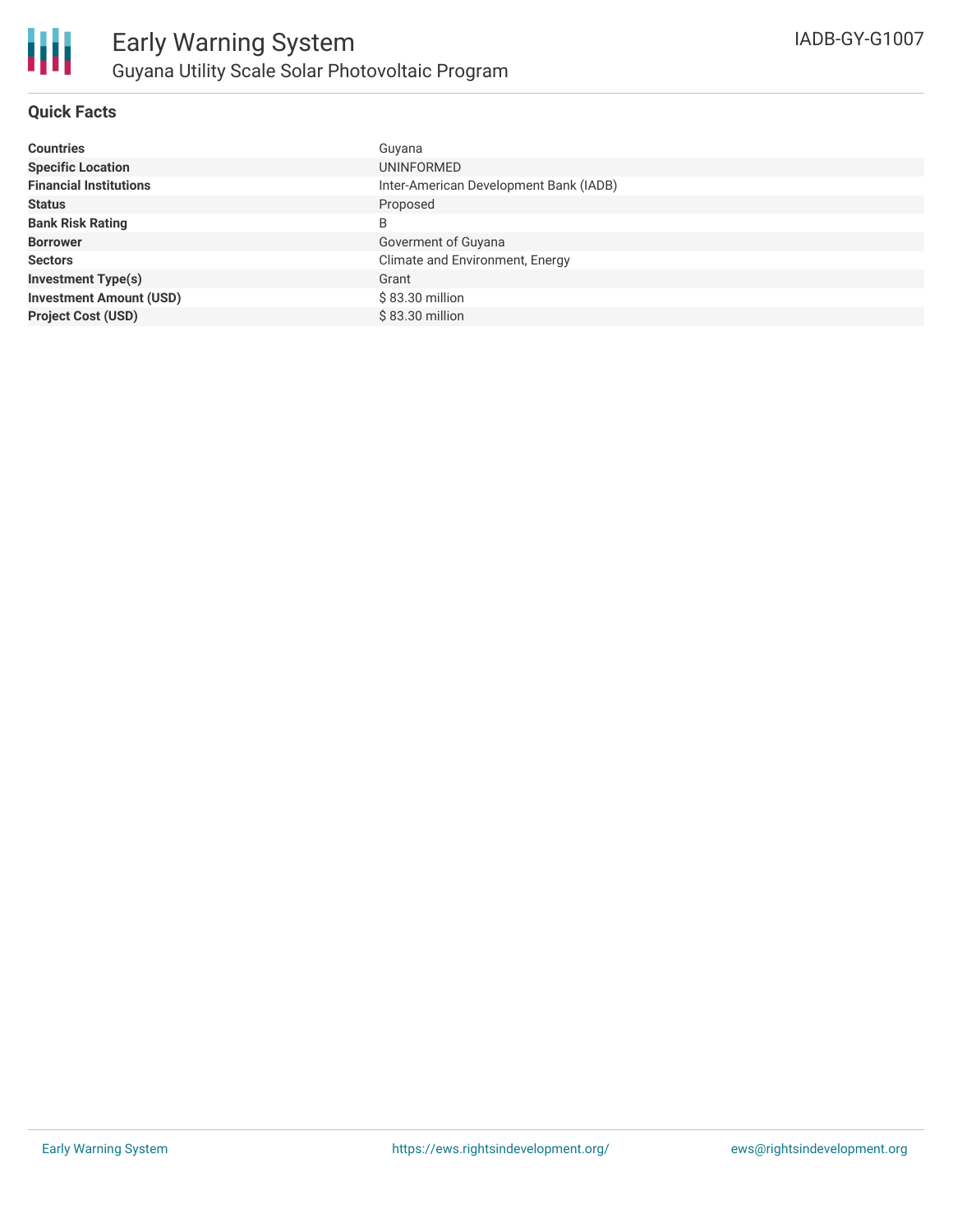

#### **Quick Facts**

| <b>Countries</b>               | Guyana                                 |
|--------------------------------|----------------------------------------|
| <b>Specific Location</b>       | UNINFORMED                             |
| <b>Financial Institutions</b>  | Inter-American Development Bank (IADB) |
| <b>Status</b>                  | Proposed                               |
| <b>Bank Risk Rating</b>        | B                                      |
| <b>Borrower</b>                | Goverment of Guyana                    |
| <b>Sectors</b>                 | Climate and Environment, Energy        |
| <b>Investment Type(s)</b>      | Grant                                  |
| <b>Investment Amount (USD)</b> | \$83.30 million                        |
| <b>Project Cost (USD)</b>      | \$83.30 million                        |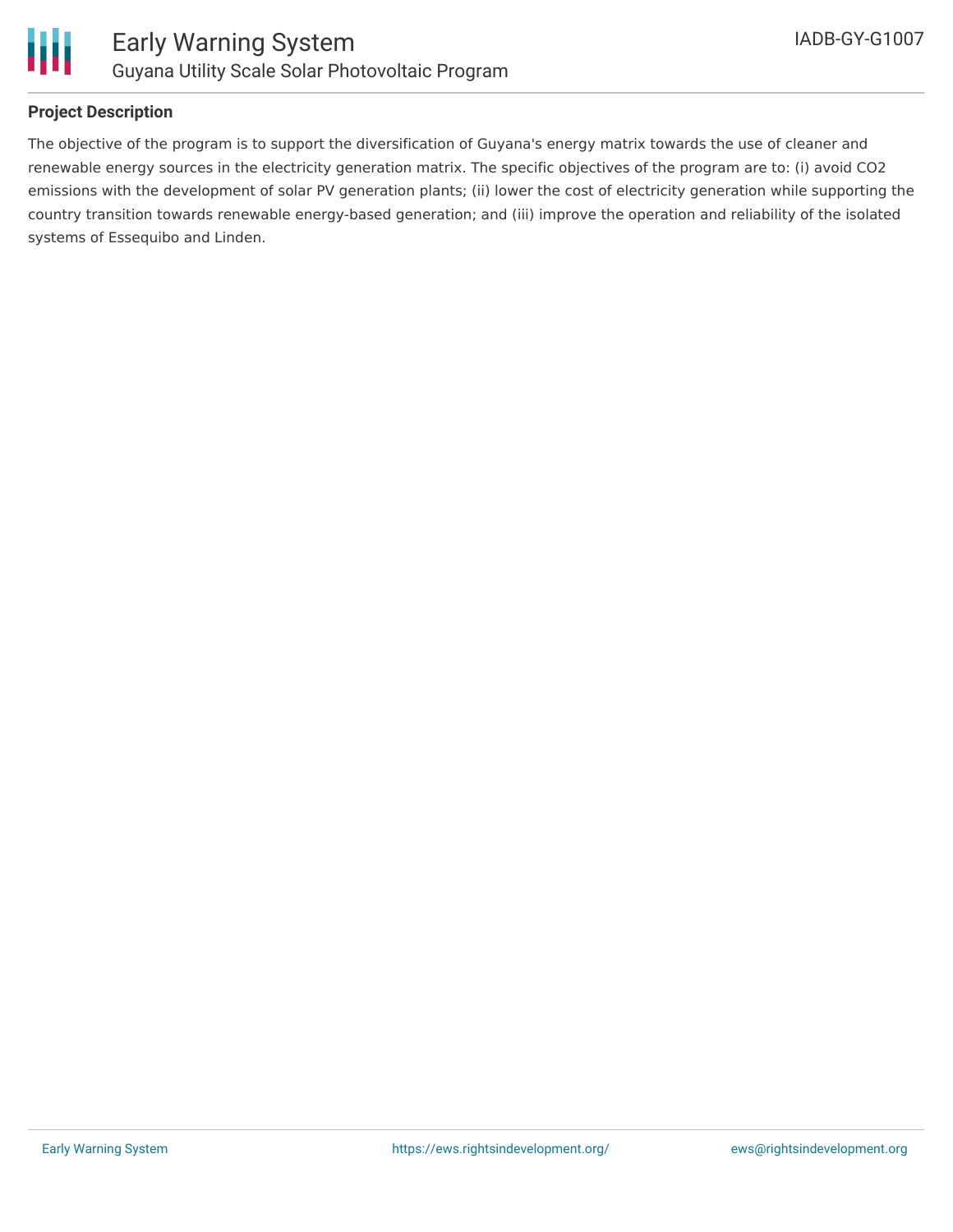

#### **Project Description**

The objective of the program is to support the diversification of Guyana's energy matrix towards the use of cleaner and renewable energy sources in the electricity generation matrix. The specific objectives of the program are to: (i) avoid CO2 emissions with the development of solar PV generation plants; (ii) lower the cost of electricity generation while supporting the country transition towards renewable energy-based generation; and (iii) improve the operation and reliability of the isolated systems of Essequibo and Linden.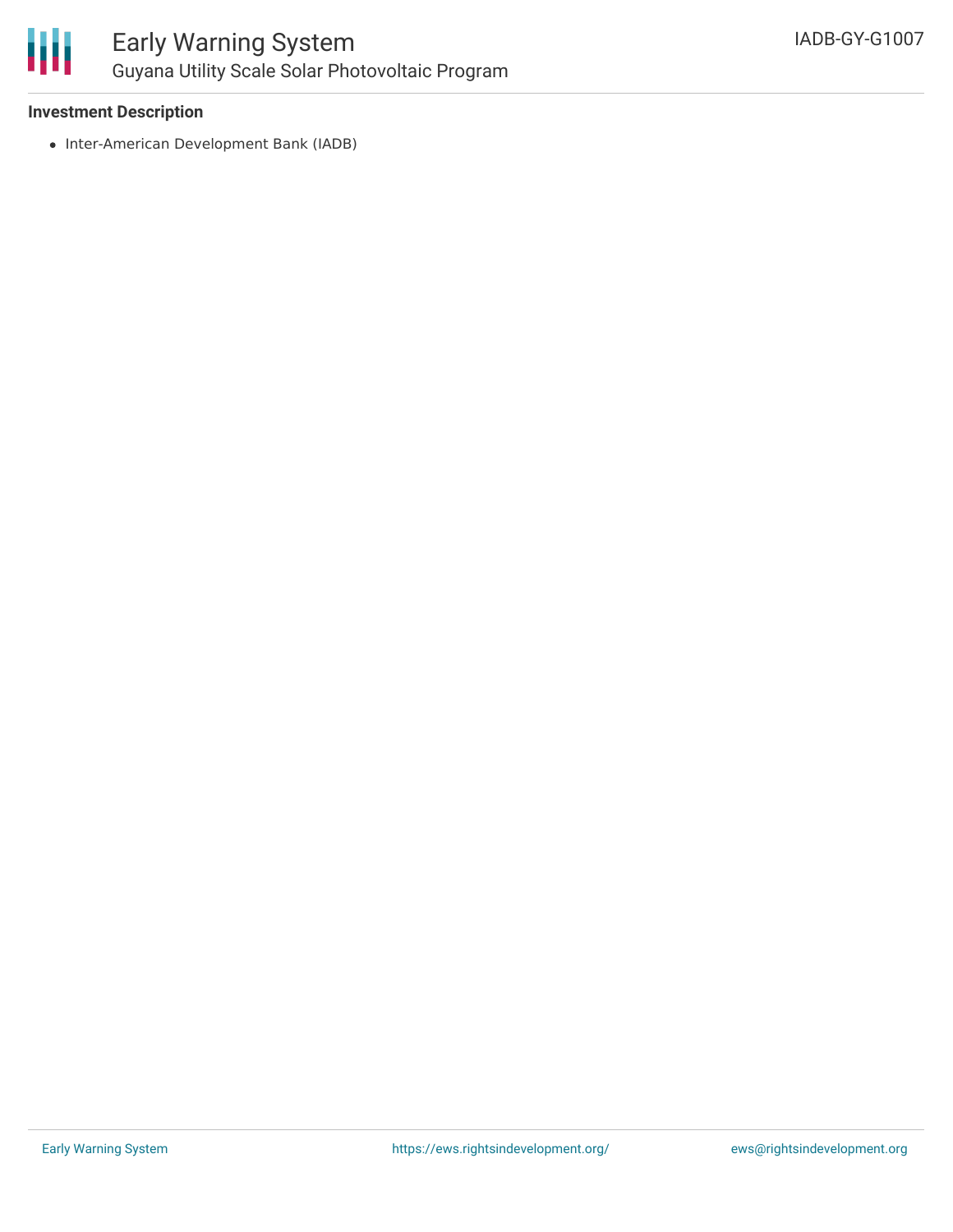

## Early Warning System Guyana Utility Scale Solar Photovoltaic Program

#### **Investment Description**

• Inter-American Development Bank (IADB)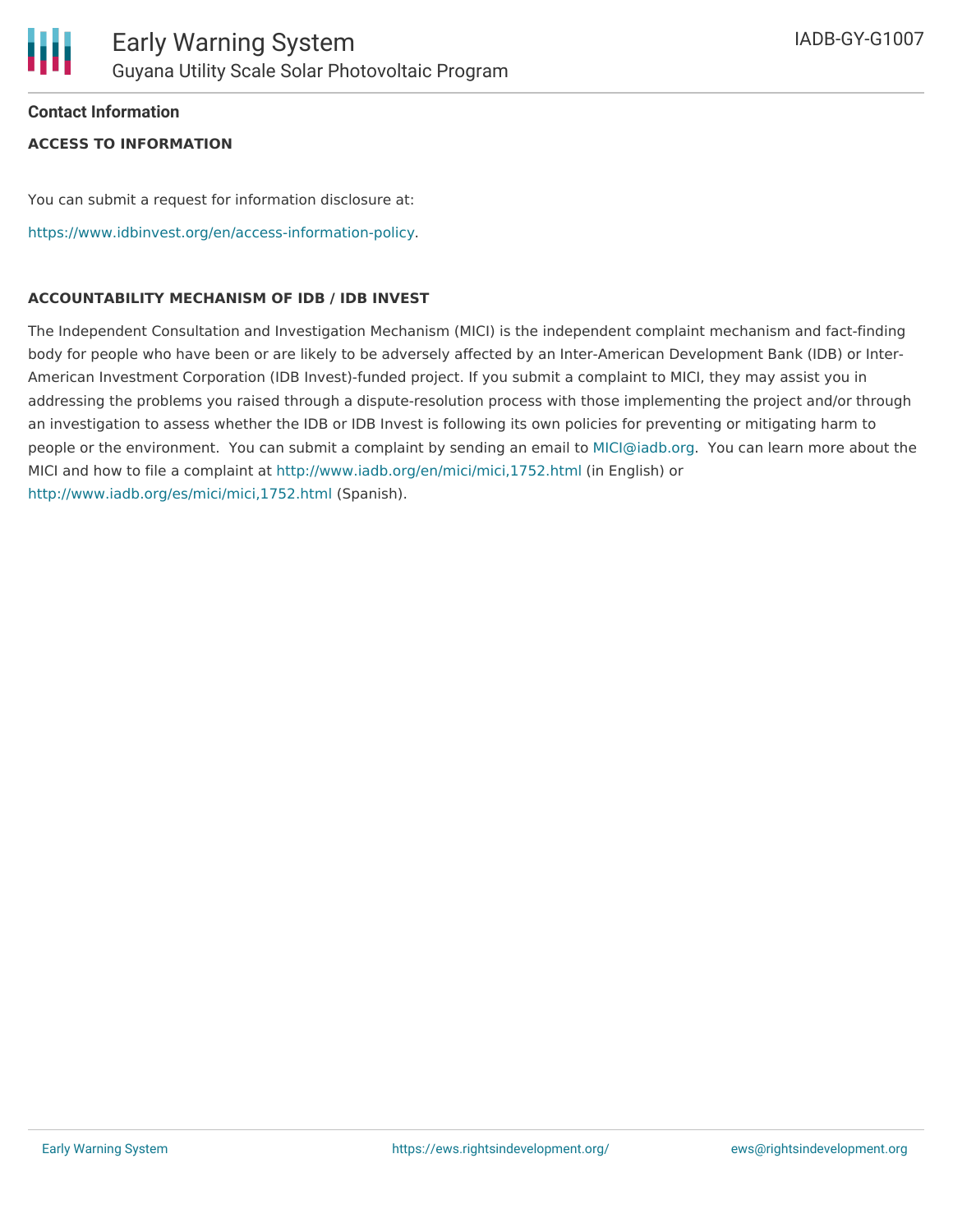#### **Contact Information**

#### **ACCESS TO INFORMATION**

You can submit a request for information disclosure at:

<https://www.idbinvest.org/en/access-information-policy>.

#### **ACCOUNTABILITY MECHANISM OF IDB / IDB INVEST**

The Independent Consultation and Investigation Mechanism (MICI) is the independent complaint mechanism and fact-finding body for people who have been or are likely to be adversely affected by an Inter-American Development Bank (IDB) or Inter-American Investment Corporation (IDB Invest)-funded project. If you submit a complaint to MICI, they may assist you in addressing the problems you raised through a dispute-resolution process with those implementing the project and/or through an investigation to assess whether the IDB or IDB Invest is following its own policies for preventing or mitigating harm to people or the environment. You can submit a complaint by sending an email to [MICI@iadb.org](mailto:MICI@iadb.org). You can learn more about the MICI and how to file a complaint at <http://www.iadb.org/en/mici/mici,1752.html> (in English) or <http://www.iadb.org/es/mici/mici,1752.html> (Spanish).